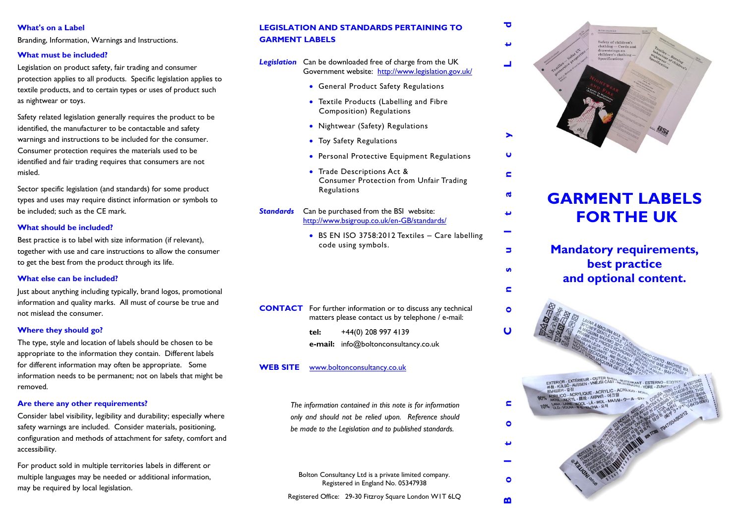Branding, Information, Warnings and Instructions.

### **What must be included?**

Legislation on product safety, fair trading and consumer protection applies to all products. Specific legislation applies to textile products, and to certain types or uses of product such as nightwear or toys.

Safety related legislation generally requires the product to be identified, the manufacturer to be contactable and safety warnings and instructions to be included for the consumer. Consumer protection requires the materials used to be identified and fair trading requires that consumers are not misled.

Sector specific legislation (and standards) for some product types and uses may require distinct information or symbols to be included; such as the CE mark.

### **What should be included?**

Best practice is to label with size information (if relevant), together with use and care instructions to allow the consumer to get the best from the product through its life.

### **What else can be included?**

Just about anything including typically, brand logos, promotional information and quality marks. All must of course be true and not mislead the consumer.

### **Where they should go?**

The type, style and location of labels should be chosen to be appropriate to the information they contain. Different labels for different information may often be appropriate. Some information needs to be permanent; not on labels that might be removed.

#### **Are there any other requirements?**

Consider label visibility, legibility and durability; especially where safety warnings are included. Consider materials, positioning, configuration and methods of attachment for safety, comfort and accessibility.

For product sold in multiple territories labels in different or multiple languages may be needed or additional information, may be required by local legislation.

# **What's on a Label <sup>d</sup> LEGISLATION AND STANDARDS PERTAINING TO GARMENT LABELS**

*Legislation* Can be downloaded free of charge from the UK Government website: <http://www.legislation.gov.uk/>

- **General Product Safety Regulations**
- Textile Products (Labelling and Fibre Composition) Regulations
- Nightwear (Safety) Regulations
- Toy Safety Regulations
- **•** Personal Protective Equipment Regulations
- Trade Descriptions Act & Consumer Protection from Unfair Trading **Regulations**
- **Standards** Can be purchased from the BSI website: <http://www.bsigroup.co.uk/en-GB/standards/>
	- BS EN ISO 3758:2012 Textiles Care labelling code using symbols.

- **CONTACT** For further information or to discuss any technical matters please contact us by telephone / e-mail:
	- **tel:** +44(0) 208 997 4139 **e-mail:** info@boltonconsultancy.co.uk

### **WEB SITE** www.boltonconsultancy.co.uk

*The information contained in this note is for information only and should not be relied upon. Reference should be made to the Legislation and to published standards.*

Bolton Consultancy Ltd is a private limited company. Registered in England No. 05347938

Registered Office: 29-30 Fitzroy Square London W1T 6LQ



# **GARMENT LABELS FOR THE UK**

 $\blacksquare$ 

 $\mathbf{d}$ 

پ

Б

 $\mathbf{u}$ 

**Mandatory requirements, best practice and optional content.**